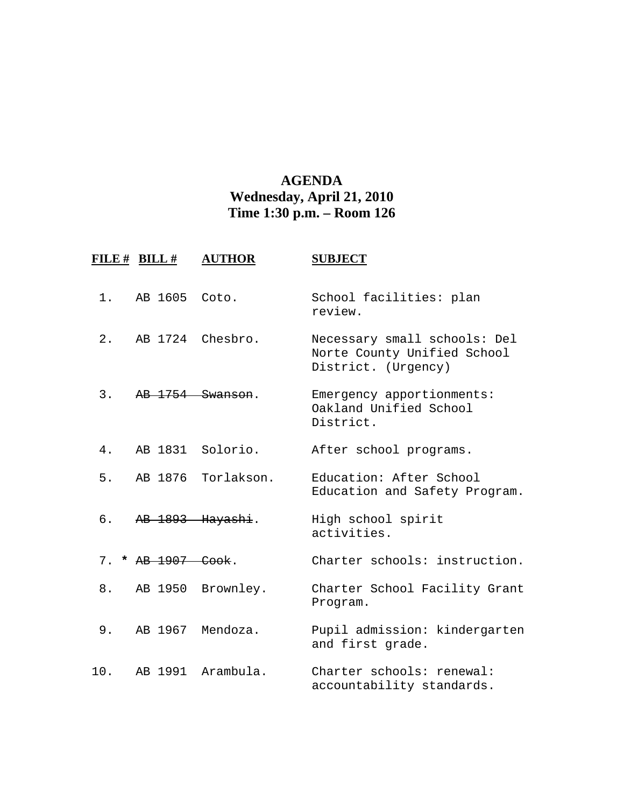## **AGENDA Wednesday, April 21, 2010 Time 1:30 p.m. – Room 126**

|       | FILE # BILL #    | <b>AUTHOR</b>     | <b>SUBJECT</b>                                                                     |
|-------|------------------|-------------------|------------------------------------------------------------------------------------|
| 1.    | AB 1605          | Coto.             | School facilities: plan<br>review.                                                 |
| $2$ . | AB 1724 Chesbro. |                   | Necessary small schools: Del<br>Norte County Unified School<br>District. (Urgency) |
| 3.    | AB 1754 Swanson. |                   | Emergency apportionments:<br>Oakland Unified School<br>District.                   |
| 4.    |                  | AB 1831 Solorio.  | After school programs.                                                             |
| 5.    | AB 1876          | Torlakson.        | Education: After School<br>Education and Safety Program.                           |
| б.    | AB 1893 Hayashi. |                   | High school spirit<br>activities.                                                  |
| 7.    | * AB 1907 Cook.  |                   | Charter schools: instruction.                                                      |
| 8.    | AB 1950          | Brownley.         | Charter School Facility Grant<br>Program.                                          |
| $9$ . | AB 1967 Mendoza. |                   | Pupil admission: kindergarten<br>and first grade.                                  |
| 10.   |                  | AB 1991 Arambula. | Charter schools: renewal:<br>accountability standards.                             |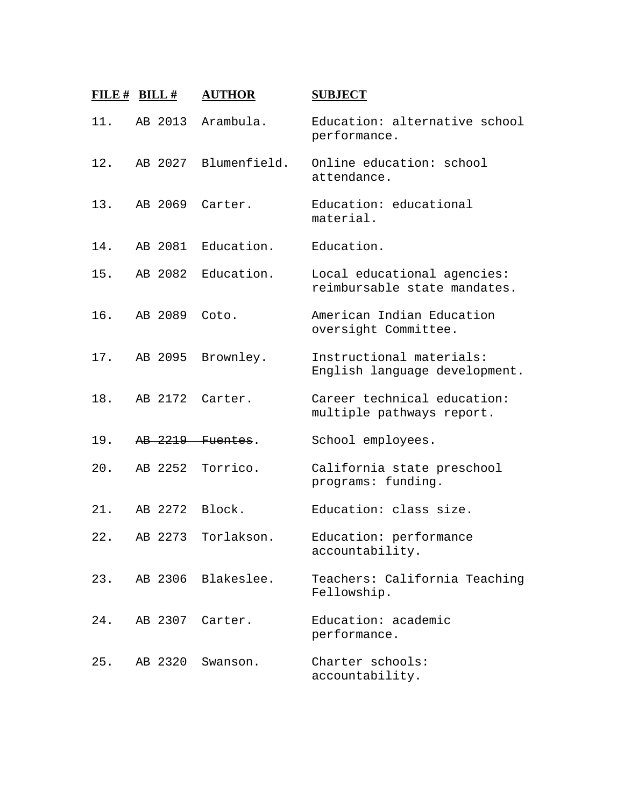| FILE $#$ BILL $#$ |         | <b>AUTHOR</b>        | <b>SUBJECT</b>                                              |
|-------------------|---------|----------------------|-------------------------------------------------------------|
| 11.               | AB 2013 | Arambula.            | Education: alternative school<br>performance.               |
| 12.               |         | AB 2027 Blumenfield. | Online education: school<br>attendance.                     |
| 13.               |         | AB 2069 Carter.      | Education: educational<br>material.                         |
| 14.               |         | AB 2081 Education.   | Education.                                                  |
| 15.               | AB 2082 | Education.           | Local educational agencies:<br>reimbursable state mandates. |
| 16.               | AB 2089 | Coto.                | American Indian Education<br>oversight Committee.           |
| 17.               | AB 2095 | Brownley.            | Instructional materials:<br>English language development.   |
| 18.               | AB 2172 | Carter.              | Career technical education:<br>multiple pathways report.    |
| 19.               |         | AB 2219 Fuentes.     | School employees.                                           |
| 20.               | AB 2252 | Torrico.             | California state preschool<br>programs: funding.            |
| 21.               |         | AB 2272 Block.       | Education: class size.                                      |
| 22.               | AB 2273 | Torlakson.           | Education: performance<br>accountability.                   |
| 23.               |         | AB 2306 Blakeslee.   | Teachers: California Teaching<br>Fellowship.                |
| 24.               | AB 2307 | Carter.              | Education: academic<br>performance.                         |
| 25.               | AB 2320 | Swanson.             | Charter schools:<br>accountability.                         |